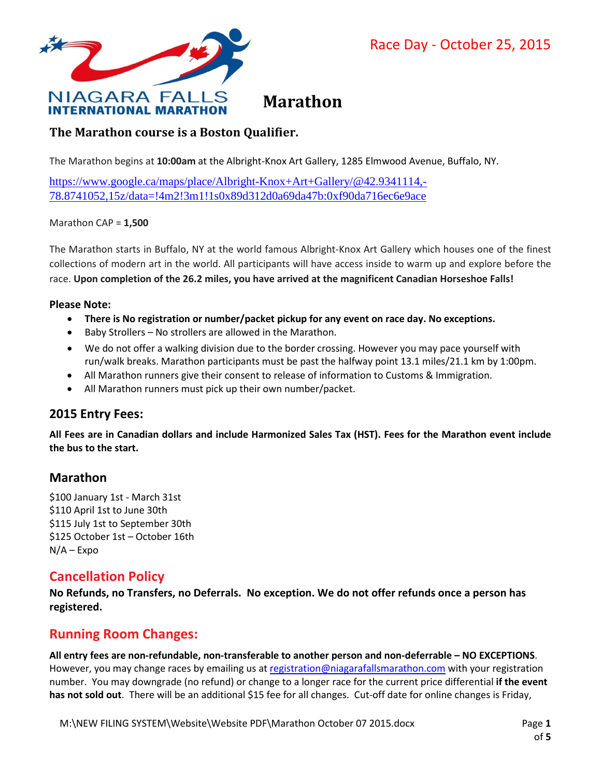

# **Marathon**

### **The Marathon course is a Boston Qualifier.**

The Marathon begins at **10:00am** at the Albright-Knox Art Gallery, 1285 Elmwood Avenue, Buffalo, NY.

[https://www.google.ca/maps/place/Albright-Knox+Art+Gallery/@42.9341114,-](https://www.google.ca/maps/place/Albright-Knox+Art+Gallery/@42.9341114,-78.8741052,15z/data=!4m2!3m1!1s0x89d312d0a69da47b:0xf90da716ec6e9ace) [78.8741052,15z/data=!4m2!3m1!1s0x89d312d0a69da47b:0xf90da716ec6e9ace](https://www.google.ca/maps/place/Albright-Knox+Art+Gallery/@42.9341114,-78.8741052,15z/data=!4m2!3m1!1s0x89d312d0a69da47b:0xf90da716ec6e9ace)

#### Marathon CAP = **1,500**

The Marathon starts in Buffalo, NY at the world famous Albright-Knox Art Gallery which houses one of the finest collections of modern art in the world. All participants will have access inside to warm up and explore before the race. **Upon completion of the 26.2 miles, you have arrived at the magnificent Canadian Horseshoe Falls!**

#### **Please Note:**

- **There is No registration or number/packet pickup for any event on race day. No exceptions.**
- Baby Strollers No strollers are allowed in the Marathon.
- We do not offer a walking division due to the border crossing. However you may pace yourself with run/walk breaks. Marathon participants must be past the halfway point 13.1 miles/21.1 km by 1:00pm.
- All Marathon runners give their consent to release of information to Customs & Immigration.
- All Marathon runners must pick up their own number/packet.

### **2015 Entry Fees:**

**All Fees are in Canadian dollars and include Harmonized Sales Tax (HST). Fees for the Marathon event include the bus to the start.**

### **Marathon**

\$100 January 1st - March 31st \$110 April 1st to June 30th \$115 July 1st to September 30th \$125 October 1st – October 16th N/A – Expo

## **Cancellation Policy**

**No Refunds, no Transfers, no Deferrals. No exception. We do not offer refunds once a person has registered.** 

## **Running Room Changes:**

**All entry fees are non-refundable, non-transferable to another person and non-deferrable – NO EXCEPTIONS**. However, you may change races by emailing us at [registration@niagarafallsmarathon.com](mailto:registration@niagarafallsmarathon.com) with your registration number. You may downgrade (no refund) or change to a longer race for the current price differential **if the event has not sold out**. There will be an additional \$15 fee for all changes. Cut-off date for online changes is Friday,

M:\NEW FILING SYSTEM\Website\Website PDF\Marathon October 07 2015.docx Page **1**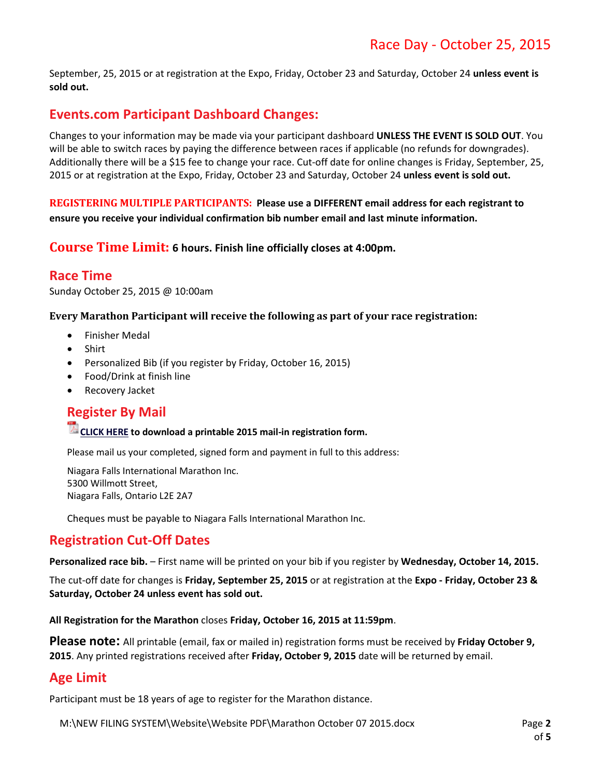September, 25, 2015 or at registration at the Expo, Friday, October 23 and Saturday, October 24 **unless event is sold out.**

## **Events.com Participant Dashboard Changes:**

Changes to your information may be made via your participant dashboard **UNLESS THE EVENT IS SOLD OUT**. You will be able to switch races by paying the difference between races if applicable (no refunds for downgrades). Additionally there will be a \$15 fee to change your race. Cut-off date for online changes is Friday, September, 25, 2015 or at registration at the Expo, Friday, October 23 and Saturday, October 24 **unless event is sold out.**

**REGISTERING MULTIPLE PARTICIPANTS: Please use a DIFFERENT email address for each registrant to ensure you receive your individual confirmation bib number email and last minute information.**

**Course Time Limit: 6 hours. Finish line officially closes at 4:00pm.**

### **Race Time**

Sunday October 25, 2015 @ 10:00am

#### **Every Marathon Participant will receive the following as part of your race registration:**

- Finisher Medal
- Shirt
- Personalized Bib (if you register by Friday, October 16, 2015)
- Food/Drink at finish line
- Recovery Jacket

### **Register By Mail**

# **CLICK HERE to download a printable 2015 mail-in registration form.**

Please mail us your completed, signed form and payment in full to this address:

Niagara Falls International Marathon Inc. 5300 Willmott Street, Niagara Falls, Ontario L2E 2A7

Cheques must be payable to Niagara Falls International Marathon Inc.

## **Registration Cut-Off Dates**

**Personalized race bib.** – First name will be printed on your bib if you register by **Wednesday, October 14, 2015.**

The cut-off date for changes is **Friday, September 25, 2015** or at registration at the **Expo - Friday, October 23 & Saturday, October 24 unless event has sold out.**

**All Registration for the Marathon** closes **Friday, October 16, 2015 at 11:59pm**.

**Please note:** All printable (email, fax or mailed in) registration forms must be received by **Friday October 9, 2015**. Any printed registrations received after **Friday, October 9, 2015** date will be returned by email.

## **Age Limit**

Participant must be 18 years of age to register for the Marathon distance.

M:\NEW FILING SYSTEM\Website\Website PDF\Marathon October 07 2015.docx Page **2**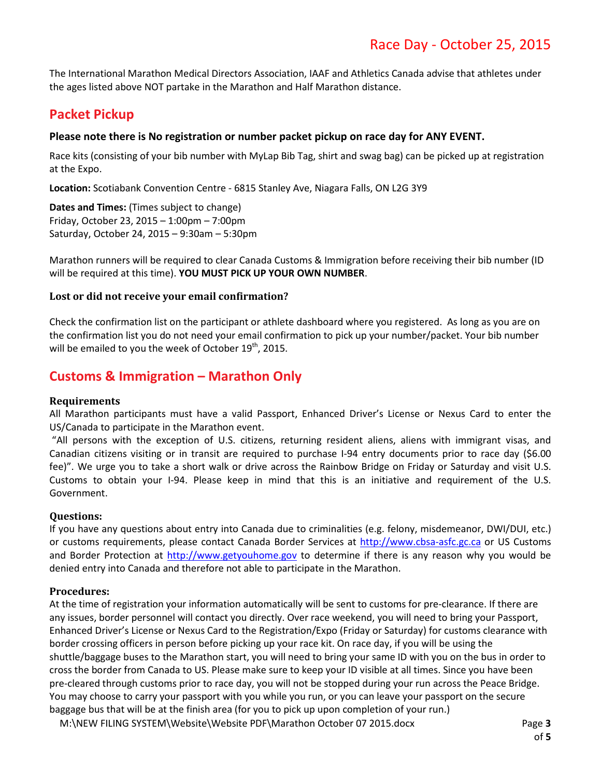# Race Day - October 25, 2015

The International Marathon Medical Directors Association, IAAF and Athletics Canada advise that athletes under the ages listed above NOT partake in the Marathon and Half Marathon distance.

## **Packet Pickup**

#### **Please note there is No registration or number packet pickup on race day for ANY EVENT.**

Race kits (consisting of your bib number with MyLap Bib Tag, shirt and swag bag) can be picked up at registration at the Expo.

**Location:** Scotiabank Convention Centre - 6815 Stanley Ave, Niagara Falls, ON L2G 3Y9

**Dates and Times:** (Times subject to change) Friday, October 23, 2015 – 1:00pm – 7:00pm Saturday, October 24, 2015 – 9:30am – 5:30pm

Marathon runners will be required to clear Canada Customs & Immigration before receiving their bib number (ID will be required at this time). **YOU MUST PICK UP YOUR OWN NUMBER**.

#### **Lost or did not receive your email confirmation?**

Check the confirmation list on the participant or athlete dashboard where you registered. As long as you are on the confirmation list you do not need your email confirmation to pick up your number/packet. Your bib number will be emailed to you the week of October  $19<sup>th</sup>$ , 2015.

## **Customs & Immigration – Marathon Only**

#### **Requirements**

All Marathon participants must have a valid Passport, Enhanced Driver's License or Nexus Card to enter the US/Canada to participate in the Marathon event.

"All persons with the exception of U.S. citizens, returning resident aliens, aliens with immigrant visas, and Canadian citizens visiting or in transit are required to purchase I-94 entry documents prior to race day (\$6.00 fee)". We urge you to take a short walk or drive across the Rainbow Bridge on Friday or Saturday and visit U.S. Customs to obtain your I-94. Please keep in mind that this is an initiative and requirement of the U.S. Government.

#### **Questions:**

If you have any questions about entry into Canada due to criminalities (e.g. felony, misdemeanor, DWI/DUI, etc.) or customs requirements, please contact Canada Border Services at [http://www.cbsa-asfc.gc.ca](http://www.cbsa-asfc.gc.ca/) or US Customs and Border Protection at [http://www.getyouhome.gov](http://www.getyouhome.gov/) to determine if there is any reason why you would be denied entry into Canada and therefore not able to participate in the Marathon.

#### **Procedures:**

At the time of registration your information automatically will be sent to customs for pre-clearance. If there are any issues, border personnel will contact you directly. Over race weekend, you will need to bring your Passport, Enhanced Driver's License or Nexus Card to the Registration/Expo (Friday or Saturday) for customs clearance with border crossing officers in person before picking up your race kit. On race day, if you will be using the shuttle/baggage buses to the Marathon start, you will need to bring your same ID with you on the bus in order to cross the border from Canada to US. Please make sure to keep your ID visible at all times. Since you have been pre-cleared through customs prior to race day, you will not be stopped during your run across the Peace Bridge. You may choose to carry your passport with you while you run, or you can leave your passport on the secure baggage bus that will be at the finish area (for you to pick up upon completion of your run.)

M:\NEW FILING SYSTEM\Website\Website PDF\Marathon October 07 2015.docx Page **3**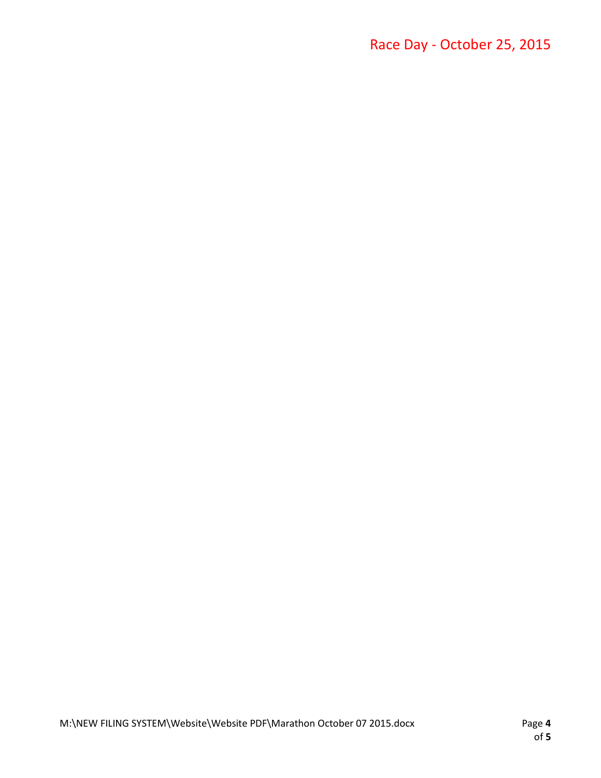# Race Day - October 25, 2015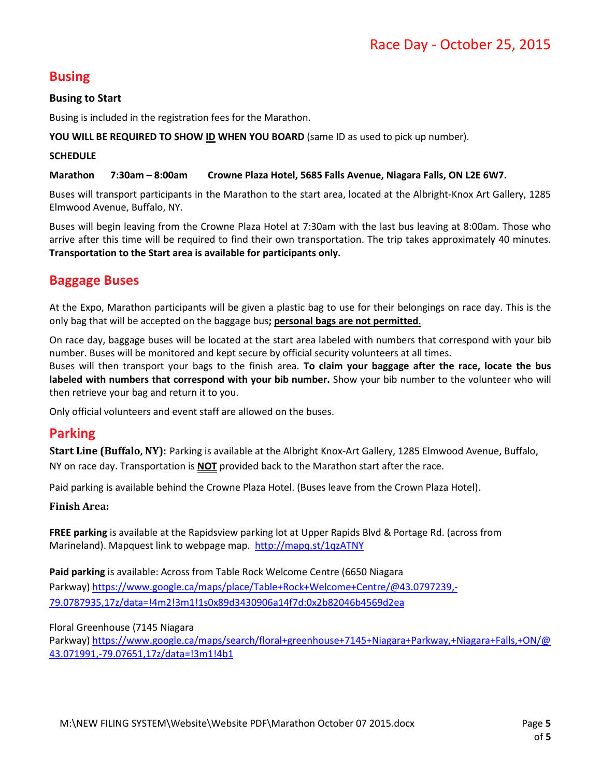## **Busing**

#### **Busing to Start**

Busing is included in the registration fees for the Marathon.

**YOU WILL BE REQUIRED TO SHOW ID WHEN YOU BOARD** (same ID as used to pick up number).

#### **SCHEDULE**

#### **Marathon 7:30am – 8:00am Crowne Plaza Hotel, 5685 Falls Avenue, Niagara Falls, ON L2E 6W7.**

Buses will transport participants in the Marathon to the start area, located at the Albright-Knox Art Gallery, 1285 Elmwood Avenue, Buffalo, NY.

Buses will begin leaving from the Crowne Plaza Hotel at 7:30am with the last bus leaving at 8:00am. Those who arrive after this time will be required to find their own transportation. The trip takes approximately 40 minutes. **Transportation to the Start area is available for participants only.**

### **Baggage Buses**

At the Expo, Marathon participants will be given a plastic bag to use for their belongings on race day. This is the only bag that will be accepted on the baggage bus**; personal bags are not permitted**.

On race day, baggage buses will be located at the start area labeled with numbers that correspond with your bib number. Buses will be monitored and kept secure by official security volunteers at all times.

Buses will then transport your bags to the finish area. **To claim your baggage after the race, locate the bus labeled with numbers that correspond with your bib number.** Show your bib number to the volunteer who will then retrieve your bag and return it to you.

Only official volunteers and event staff are allowed on the buses.

## **Parking**

**Start Line (Buffalo, NY):** Parking is available at the Albright Knox-Art Gallery, 1285 Elmwood Avenue, Buffalo, NY on race day. Transportation is **NOT** provided back to the Marathon start after the race.

Paid parking is available behind the Crowne Plaza Hotel. (Buses leave from the Crown Plaza Hotel).

#### **Finish Area:**

**FREE parking** is available at the Rapidsview parking lot at Upper Rapids Blvd & Portage Rd. (across from Marineland). Mapquest link to webpage map. <http://mapq.st/1qzATNY>

**Paid parking** is available: Across from Table Rock Welcome Centre (6650 Niagara Parkway) [https://www.google.ca/maps/place/Table+Rock+Welcome+Centre/@43.0797239,-](https://www.google.ca/maps/place/Table+Rock+Welcome+Centre/@43.0797239,-79.0787935,17z/data=!4m2!3m1!1s0x89d3430906a14f7d:0x2b82046b4569d2ea) [79.0787935,17z/data=!4m2!3m1!1s0x89d3430906a14f7d:0x2b82046b4569d2ea](https://www.google.ca/maps/place/Table+Rock+Welcome+Centre/@43.0797239,-79.0787935,17z/data=!4m2!3m1!1s0x89d3430906a14f7d:0x2b82046b4569d2ea)

Floral Greenhouse (7145 Niagara

Parkway) [https://www.google.ca/maps/search/floral+greenhouse+7145+Niagara+Parkway,+Niagara+Falls,+ON/@](https://www.google.ca/maps/search/floral+greenhouse+7145+Niagara+Parkway,+Niagara+Falls,+ON/@43.071991,-79.07651,17z/data=!3m1!4b1) [43.071991,-79.07651,17z/data=!3m1!4b1](https://www.google.ca/maps/search/floral+greenhouse+7145+Niagara+Parkway,+Niagara+Falls,+ON/@43.071991,-79.07651,17z/data=!3m1!4b1)